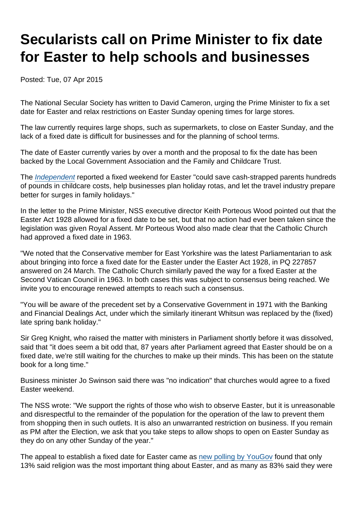## Secularists call on Prime Minister to fix date for Easter to help schools and businesses

Posted: Tue, 07 Apr 2015

The National Secular Society has written to David Cameron, urging the Prime Minister to fix a set date for Easter and relax restrictions on Easter Sunday opening times for large stores.

The law currently requires large shops, such as supermarkets, to close on Easter Sunday, and the lack of a fixed date is difficult for businesses and for the planning of school terms.

The date of Easter currently varies by over a month and the proposal to fix the date has been backed by the Local Government Association and the Family and Childcare Trust.

The [Independent](http://www.independent.co.uk/news/uk/politics/move-easter-to-a-fixed-week-in-april-to-help-parents-and-businesses-say-campaigners-10156453.html) reported a fixed weekend for Easter "could save cash-strapped parents hundreds of pounds in childcare costs, help businesses plan holiday rotas, and let the travel industry prepare better for surges in family holidays."

In the letter to the Prime Minister, NSS executive director Keith Porteous Wood pointed out that the Easter Act 1928 allowed for a fixed date to be set, but that no action had ever been taken since the legislation was given Royal Assent. Mr Porteous Wood also made clear that the Catholic Church had approved a fixed date in 1963.

"We noted that the Conservative member for East Yorkshire was the latest Parliamentarian to ask about bringing into force a fixed date for the Easter under the Easter Act 1928, in PQ 227857 answered on 24 March. The Catholic Church similarly paved the way for a fixed Easter at the Second Vatican Council in 1963. In both cases this was subject to consensus being reached. We invite you to encourage renewed attempts to reach such a consensus.

"You will be aware of the precedent set by a Conservative Government in 1971 with the Banking and Financial Dealings Act, under which the similarly itinerant Whitsun was replaced by the (fixed) late spring bank holiday."

Sir Greg Knight, who raised the matter with ministers in Parliament shortly before it was dissolved, said that "it does seem a bit odd that, 87 years after Parliament agreed that Easter should be on a fixed date, we're still waiting for the churches to make up their minds. This has been on the statute book for a long time."

Business minister Jo Swinson said there was "no indication" that churches would agree to a fixed Easter weekend.

The NSS wrote: "We support the rights of those who wish to observe Easter, but it is unreasonable and disrespectful to the remainder of the population for the operation of the law to prevent them from shopping then in such outlets. It is also an unwarranted restriction on business. If you remain as PM after the Election, we ask that you take steps to allow shops to open on Easter Sunday as they do on any other Sunday of the year."

The appeal to establish a fixed date for Easter came as [new polling by YouGov](http://www.brin.ac.uk/news/2015/easter-religion-and-other-news/) found that only 13% said religion was the most important thing about Easter, and as many as 83% said they were